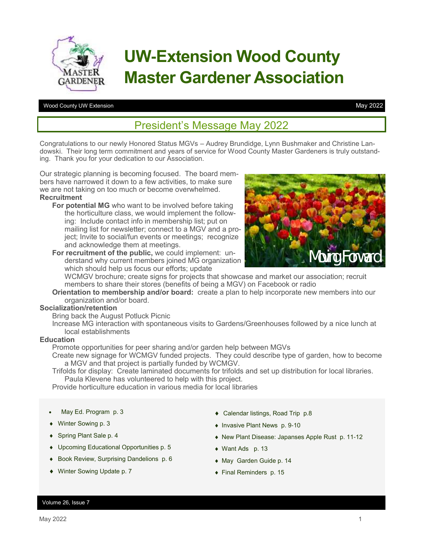

# **UW-Extension Wood County Master Gardener Association**

#### Wood County UW Extension

May 2022

## President's Message May 2022

Congratulations to our newly Honored Status MGVs – Audrey Brundidge, Lynn Bushmaker and Christine Landowski. Their long term commitment and years of service for Wood County Master Gardeners is truly outstanding. Thank you for your dedication to our Association.

Our strategic planning is becoming focused. The board members have narrowed it down to a few activities, to make sure we are not taking on too much or become overwhelmed. **Recruitment**

- **For potential MG** who want to be involved before taking the horticulture class, we would implement the following: Include contact info in membership list; put on mailing list for newsletter; connect to a MGV and a project; Invite to social/fun events or meetings; recognize and acknowledge them at meetings.
- **For recruitment of the public,** we could implement: understand why current members joined MG organization which should help us focus our efforts; update



WCMGV brochure; create signs for projects that showcase and market our association; recruit members to share their stores (benefits of being a MGV) on Facebook or radio

**Orientation to membership and/or board:** create a plan to help incorporate new members into our organization and/or board.

#### **Socialization/retention**

Bring back the August Potluck Picnic

Increase MG interaction with spontaneous visits to Gardens/Greenhouses followed by a nice lunch at local establishments

### **Education**

Promote opportunities for peer sharing and/or garden help between MGVs

Create new signage for WCMGV funded projects. They could describe type of garden, how to become a MGV and that project is partially funded by WCMGV.

Trifolds for display: Create laminated documents for trifolds and set up distribution for local libraries. Paula Klevene has volunteered to help with this project.

Provide horticulture education in various media for local libraries

- May Ed. Program p. 3
- ◆ Winter Sowing p. 3
- ◆ Spring Plant Sale p. 4
- Upcoming Educational Opportunities p. 5
- ◆ Book Review, Surprising Dandelions p. 6
- ◆ Winter Sowing Update p. 7
- Calendar listings, Road Trip p.8
- ◆ Invasive Plant News p. 9-10
- New Plant Disease: Japanses Apple Rust p. 11-12
- Want Ads p. 13
- May Garden Guide p. 14
- Final Reminders p. 15

#### Volume 26, Issue 7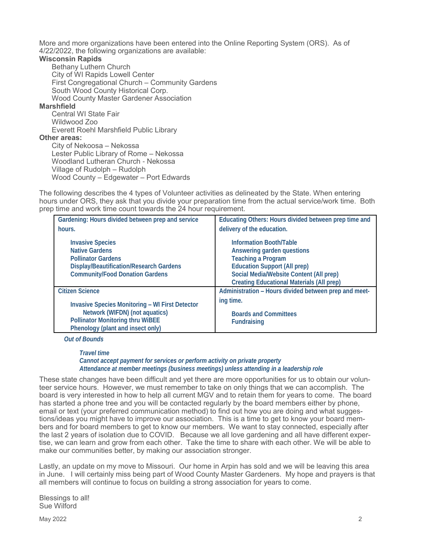More and more organizations have been entered into the Online Reporting System (ORS). As of 4/22/2022, the following organizations are available:

#### **Wisconsin Rapids**

Bethany Luthern Church City of WI Rapids Lowell Center First Congregational Church – Community Gardens South Wood County Historical Corp. Wood County Master Gardener Association

#### **Marshfield**

Central WI State Fair Wildwood Zoo Everett Roehl Marshfield Public Library **Other areas:** 

City of Nekoosa – Nekossa Lester Public Library of Rome – Nekossa Woodland Lutheran Church - Nekossa Village of Rudolph – Rudolph Wood County – Edgewater – Port Edwards

The following describes the 4 types of Volunteer activities as delineated by the State. When entering hours under ORS, they ask that you divide your preparation time from the actual service/work time. Both prep time and work time count towards the 24 hour requirement.

| Gardening: Hours divided between prep and service                                                                                                                  | Educating Others: Hours divided between prep time and                                                                                                                                                      |
|--------------------------------------------------------------------------------------------------------------------------------------------------------------------|------------------------------------------------------------------------------------------------------------------------------------------------------------------------------------------------------------|
| hours.                                                                                                                                                             | delivery of the education.                                                                                                                                                                                 |
| <b>Invasive Species</b><br><b>Native Gardens</b><br><b>Pollinator Gardens</b><br>Display/Beautification/Research Gardens<br><b>Community/Food Donation Gardens</b> | Information Booth/Table<br>Answering garden questions<br>Teaching a Program<br><b>Education Support (All prep)</b><br>Social Media/Website Content (All prep)<br>Creating Educational Materials (All prep) |
| <b>Citizen Science</b>                                                                                                                                             | Administration - Hours divided between prep and meet-                                                                                                                                                      |
| Invasive Species Monitoring - WI First Detector<br>Network (WIFDN) (not aquatics)<br>Pollinator Monitoring thru WiBEE<br>Phenology (plant and insect only)         | ing time.<br><b>Boards and Committees</b><br>Fundraising                                                                                                                                                   |

*Out of Bounds*

*Travel time Cannot accept payment for services or perform activity on private property Attendance at member meetings (business meetings) unless attending in a leadership role*

These state changes have been difficult and yet there are more opportunities for us to obtain our volunteer service hours. However, we must remember to take on only things that we can accomplish. The board is very interested in how to help all current MGV and to retain them for years to come. The board has started a phone tree and you will be contacted regularly by the board members either by phone, email or text (your preferred communication method) to find out how you are doing and what suggestions/ideas you might have to improve our association. This is a time to get to know your board members and for board members to get to know our members. We want to stay connected, especially after the last 2 years of isolation due to COVID. Because we all love gardening and all have different expertise, we can learn and grow from each other. Take the time to share with each other. We will be able to make our communities better, by making our association stronger.

Lastly, an update on my move to Missouri. Our home in Arpin has sold and we will be leaving this area in June. I will certainly miss being part of Wood County Master Gardeners. My hope and prayers is that all members will continue to focus on building a strong association for years to come.

Blessings to all! Sue Wilford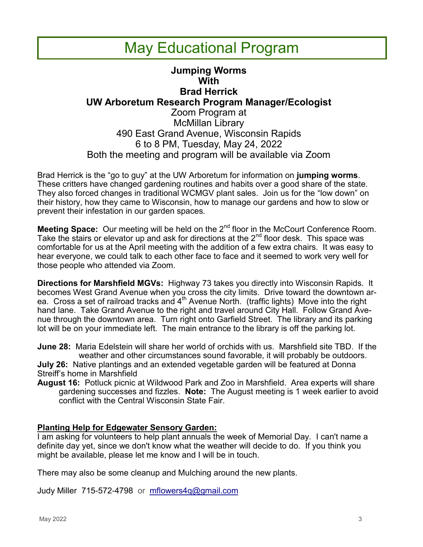## May Educational Program

### **Jumping Worms With Brad Herrick UW Arboretum Research Program Manager/Ecologist** Zoom Program at McMillan Library 490 East Grand Avenue, Wisconsin Rapids 6 to 8 PM, Tuesday, May 24, 2022 Both the meeting and program will be available via Zoom

Brad Herrick is the "go to guy" at the UW Arboretum for information on **jumping worms**. These critters have changed gardening routines and habits over a good share of the state. They also forced changes in traditional WCMGV plant sales. Join us for the "low down" on their history, how they came to Wisconsin, how to manage our gardens and how to slow or prevent their infestation in our garden spaces.

**Meeting Space:** Our meeting will be held on the 2<sup>nd</sup> floor in the McCourt Conference Room. Take the stairs or elevator up and ask for directions at the  $2<sup>nd</sup>$  floor desk. This space was comfortable for us at the April meeting with the addition of a few extra chairs. It was easy to hear everyone, we could talk to each other face to face and it seemed to work very well for those people who attended via Zoom.

**Directions for Marshfield MGVs:** Highway 73 takes you directly into Wisconsin Rapids. It becomes West Grand Avenue when you cross the city limits. Drive toward the downtown area. Cross a set of railroad tracks and  $4<sup>th</sup>$  Avenue North. (traffic lights) Move into the right hand lane. Take Grand Avenue to the right and travel around City Hall. Follow Grand Avenue through the downtown area. Turn right onto Garfield Street. The library and its parking lot will be on your immediate left. The main entrance to the library is off the parking lot.

**June 28:** Maria Edelstein will share her world of orchids with us. Marshfield site TBD. If the weather and other circumstances sound favorable, it will probably be outdoors.

**July 26:** Native plantings and an extended vegetable garden will be featured at Donna Streiff's home in Marshfield

**August 16:** Potluck picnic at Wildwood Park and Zoo in Marshfield. Area experts will share gardening successes and fizzles. **Note:** The August meeting is 1 week earlier to avoid conflict with the Central Wisconsin State Fair.

### **Planting Help for Edgewater Sensory Garden:**

I am asking for volunteers to help plant annuals the week of Memorial Day. I can't name a definite day yet, since we don't know what the weather will decide to do. If you think you might be available, please let me know and I will be in touch.

There may also be some cleanup and Mulching around the new plants.

Judy Miller 715-572-4798 or [mflowers4q@gmail.com](mailto:mflowers4q@gmail.com)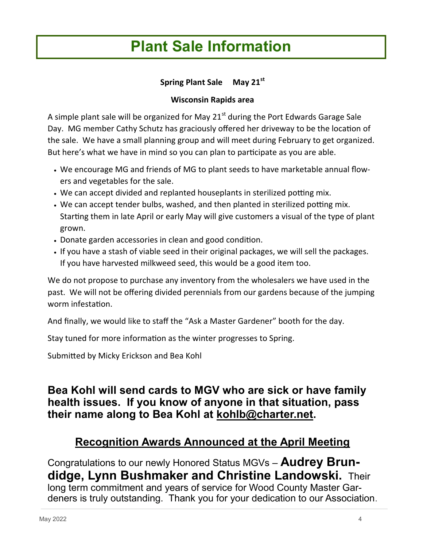## **Plant Sale Information**

### **Spring Plant Sale May 21st**

### **Wisconsin Rapids area**

A simple plant sale will be organized for May  $21<sup>st</sup>$  during the Port Edwards Garage Sale Day. MG member Cathy Schutz has graciously offered her driveway to be the location of the sale. We have a small planning group and will meet during February to get organized. But here's what we have in mind so you can plan to participate as you are able.

- We encourage MG and friends of MG to plant seeds to have marketable annual flowers and vegetables for the sale.
- We can accept divided and replanted houseplants in sterilized potting mix.
- We can accept tender bulbs, washed, and then planted in sterilized potting mix. Starting them in late April or early May will give customers a visual of the type of plant grown.
- Donate garden accessories in clean and good condition.
- If you have a stash of viable seed in their original packages, we will sell the packages. If you have harvested milkweed seed, this would be a good item too.

We do not propose to purchase any inventory from the wholesalers we have used in the past. We will not be offering divided perennials from our gardens because of the jumping worm infestation.

And finally, we would like to staff the "Ask a Master Gardener" booth for the day.

Stay tuned for more information as the winter progresses to Spring.

Submitted by Micky Erickson and Bea Kohl

## **Bea Kohl will send cards to MGV who are sick or have family health issues. If you know of anyone in that situation, pass their name along to Bea Kohl at [kohlb@charter.net.](mailto:kohlb@charter.net)**

## **Recognition Awards Announced at the April Meeting**

Congratulations to our newly Honored Status MGVs – **Audrey Brundidge, Lynn Bushmaker and Christine Landowski.** Their long term commitment and years of service for Wood County Master Gardeners is truly outstanding. Thank you for your dedication to our Association.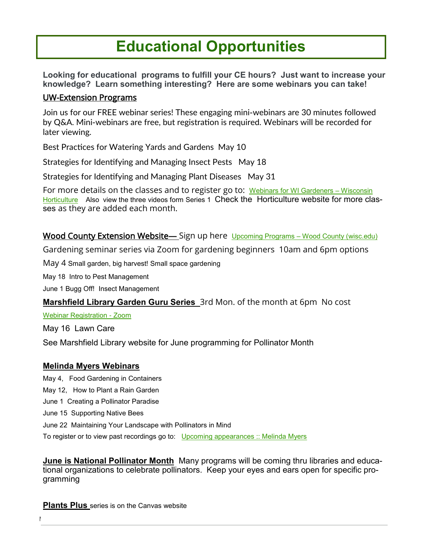## **Educational Opportunities**

**Looking for educational programs to fulfill your CE hours? Just want to increase your knowledge? Learn something interesting? Here are some webinars you can take!**

### UW-Extension Programs

Join us for our FREE webinar series! These engaging mini-webinars are 30 minutes followed by Q&A. Mini-webinars are free, but registration is required. Webinars will be recorded for later viewing.

Best Practices for Watering Yards and Gardens May 10

Strategies for Identifying and Managing Insect Pests May 18

Strategies for Identifying and Managing Plant Diseases May 31

For more details on the classes and to register go to: [Webinars for WI Gardeners –](https://hort.extension.wisc.edu/mini-webinars-for-gardeners/) Wisconsin [Horticulture](https://hort.extension.wisc.edu/mini-webinars-for-gardeners/) Also view the three videos form Series 1 Check the Horticulture website for more classes as they are added each month.

Wood County Extension Website— Sign up here Upcoming Programs – [Wood County \(wisc.edu\)](https://wood.extension.wisc.edu/horticulture/upcoming-programs/)

Gardening seminar series via Zoom for gardening beginners 10am and 6pm options

May 4 Small garden, big harvest! Small space gardening

May 18 Intro to Pest Management

June 1 Bugg Off! Insect Management

**Marshfield Library Garden Guru Series** 3rd Mon. of the month at 6pm No cost

[Webinar Registration -](https://us06web.zoom.us/webinar/register/WN_rZ20YLdEREuGPUYv16puxg) Zoom

May 16 Lawn Care

See Marshfield Library website for June programming for Pollinator Month

### **Melinda Myers Webinars**

May 4, Food Gardening in Containers May 12, How to Plant a Rain Garden June 1 Creating a Pollinator Paradise

June 15 Supporting Native Bees

June 22 Maintaining Your Landscape with Pollinators in Mind

To register or to view past recordings go to: [Upcoming appearances :: Melinda Myers](https://www.melindamyers.com/about-melinda/upcoming-appearances)

**June is National Pollinator Month** Many programs will be coming thru libraries and educational organizations to celebrate pollinators. Keep your eyes and ears open for specific programming

**Plants Plus** series is on the Canvas website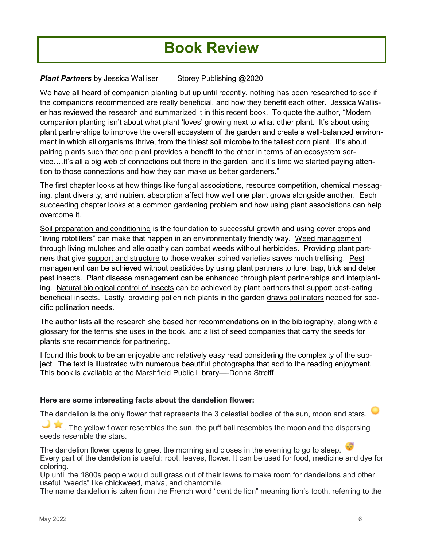## **Book Review**

### **Plant Partners** by Jessica Walliser Storey Publishing @2020

We have all heard of companion planting but up until recently, nothing has been researched to see if the companions recommended are really beneficial, and how they benefit each other. Jessica Walliser has reviewed the research and summarized it in this recent book. To quote the author, "Modern companion planting isn't about what plant 'loves' growing next to what other plant. It's about using plant partnerships to improve the overall ecosystem of the garden and create a well-balanced environment in which all organisms thrive, from the tiniest soil microbe to the tallest corn plant. It's about pairing plants such that one plant provides a benefit to the other in terms of an ecosystem service….It's all a big web of connections out there in the garden, and it's time we started paying attention to those connections and how they can make us better gardeners."

The first chapter looks at how things like fungal associations, resource competition, chemical messaging, plant diversity, and nutrient absorption affect how well one plant grows alongside another. Each succeeding chapter looks at a common gardening problem and how using plant associations can help overcome it.

Soil preparation and conditioning is the foundation to successful growth and using cover crops and "living rototillers" can make that happen in an environmentally friendly way. Weed management through living mulches and allelopathy can combat weeds without herbicides. Providing plant partners that give support and structure to those weaker spined varieties saves much trellising. Pest management can be achieved without pesticides by using plant partners to lure, trap, trick and deter pest insects. Plant disease management can be enhanced through plant partnerships and interplanting. Natural biological control of insects can be achieved by plant partners that support pest-eating beneficial insects. Lastly, providing pollen rich plants in the garden draws pollinators needed for specific pollination needs.

The author lists all the research she based her recommendations on in the bibliography, along with a glossary for the terms she uses in the book, and a list of seed companies that carry the seeds for plants she recommends for partnering.

I found this book to be an enjoyable and relatively easy read considering the complexity of the subject. The text is illustrated with numerous beautiful photographs that add to the reading enjoyment. This book is available at the Marshfield Public Library—-Donna Streiff

### **Here are some interesting facts about the dandelion flower:**

The dandelion is the only flower that represents the 3 celestial bodies of the sun, moon and stars.

The yellow flower resembles the sun, the puff ball resembles the moon and the dispersing seeds resemble the stars.

The dandelion flower opens to greet the morning and closes in the evening to go to sleep. Every part of the dandelion is useful: root, leaves, flower. It can be used for food, medicine and dye for coloring.

Up until the 1800s people would pull grass out of their lawns to make room for dandelions and other useful "weeds" like chickweed, malva, and chamomile.

The name dandelion is taken from the French word "dent de lion" meaning lion's tooth, referring to the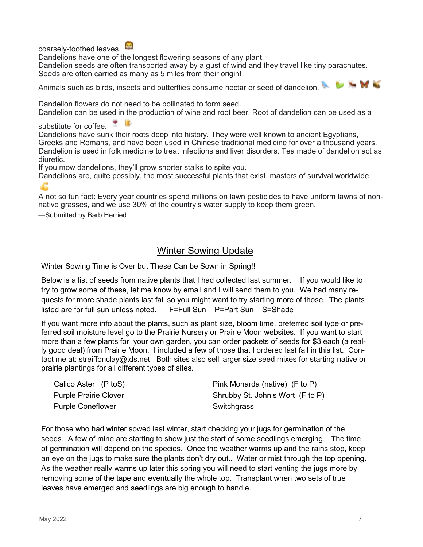coarsely-toothed leaves.

Dandelions have one of the longest flowering seasons of any plant.

Dandelion seeds are often transported away by a gust of wind and they travel like tiny parachutes. Seeds are often carried as many as 5 miles from their origin!

Animals such as birds, insects and butterflies consume nectar or seed of dandelion.

. Dandelion flowers do not need to be pollinated to form seed.

Dandelion can be used in the production of wine and root beer. Root of dandelion can be used as a

substitute for coffee.

Dandelions have sunk their roots deep into history. They were well known to ancient Egyptians, Greeks and Romans, and have been used in Chinese traditional medicine for over a thousand years. Dandelion is used in folk medicine to treat infections and liver disorders. Tea made of dandelion act as diuretic.

If you mow dandelions, they'll grow shorter stalks to spite you.

Dandelions are, quite possibly, the most successful plants that exist, masters of survival worldwide.

A not so fun fact: Every year countries spend millions on lawn pesticides to have uniform lawns of nonnative grasses, and we use 30% of the country's water supply to keep them green.

—Submitted by Barb Herried

### Winter Sowing Update

Winter Sowing Time is Over but These Can be Sown in Spring!!

Below is a list of seeds from native plants that I had collected last summer. If you would like to try to grow some of these, let me know by email and I will send them to you. We had many requests for more shade plants last fall so you might want to try starting more of those. The plants listed are for full sun unless noted. F=Full Sun P=Part Sun S=Shade

If you want more info about the plants, such as plant size, bloom time, preferred soil type or preferred soil moisture level go to the Prairie Nursery or Prairie Moon websites. If you want to start more than a few plants for your own garden, you can order packets of seeds for \$3 each (a really good deal) from Prairie Moon. I included a few of those that I ordered last fall in this list. Contact me at: streiffonclay@tds.net Both sites also sell larger size seed mixes for starting native or prairie plantings for all different types of sites.

| Calico Aster (P toS)         | Pink Monarda (native) (F to P)   |
|------------------------------|----------------------------------|
| <b>Purple Prairie Clover</b> | Shrubby St. John's Wort (F to P) |
| <b>Purple Coneflower</b>     | Switchgrass                      |

For those who had winter sowed last winter, start checking your jugs for germination of the seeds. A few of mine are starting to show just the start of some seedlings emerging. The time of germination will depend on the species. Once the weather warms up and the rains stop, keep an eye on the jugs to make sure the plants don't dry out.. Water or mist through the top opening. As the weather really warms up later this spring you will need to start venting the jugs more by removing some of the tape and eventually the whole top. Transplant when two sets of true leaves have emerged and seedlings are big enough to handle.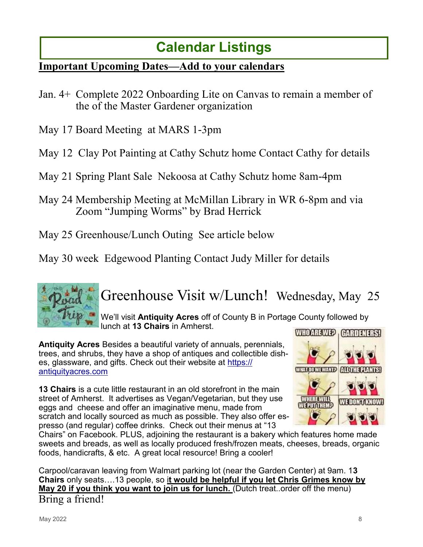## **Calendar Listings**

### **Important Upcoming Dates—Add to your calendars**

- Jan. 4+ Complete 2022 Onboarding Lite on Canvas to remain a member of the of the Master Gardener organization
- May 17 Board Meeting at MARS 1-3pm
- May 12 Clay Pot Painting at Cathy Schutz home Contact Cathy for details
- May 21 Spring Plant Sale Nekoosa at Cathy Schutz home 8am-4pm
- May 24 Membership Meeting at McMillan Library in WR 6-8pm and via Zoom "Jumping Worms" by Brad Herrick
- May 25 Greenhouse/Lunch Outing See article below

May 30 week Edgewood Planting Contact Judy Miller for details



## Greenhouse Visit w/Lunch! Wednesday, May 25

We'll visit **Antiquity Acres** off of County B in Portage County followed by lunch at **13 Chairs** in Amherst.

**Antiquity Acres** Besides a beautiful variety of annuals, perennials, trees, and shrubs, they have a shop of antiques and collectible dishes, glassware, and gifts. Check out their website at [https://](https://antiquityacres.com) [antiquityacres.com](https://antiquityacres.com)

**13 Chairs** is a cute little restaurant in an old storefront in the main street of Amherst. It advertises as Vegan/Vegetarian, but they use eggs and cheese and offer an imaginative menu, made from scratch and locally sourced as much as possible. They also offer espresso (and regular) coffee drinks. Check out their menus at "13



Chairs" on Facebook. PLUS, adjoining the restaurant is a bakery which features home made sweets and breads, as well as locally produced fresh/frozen meats, cheeses, breads, organic foods, handicrafts, & etc. A great local resource! Bring a cooler!

Carpool/caravan leaving from Walmart parking lot (near the Garden Center) at 9am. 1**3 Chairs** only seats….13 people, so i**t would be helpful if you let Chris Grimes know by May 20 if you think you want to join us for lunch.** (Dutch treat..order off the menu) Bring a friend!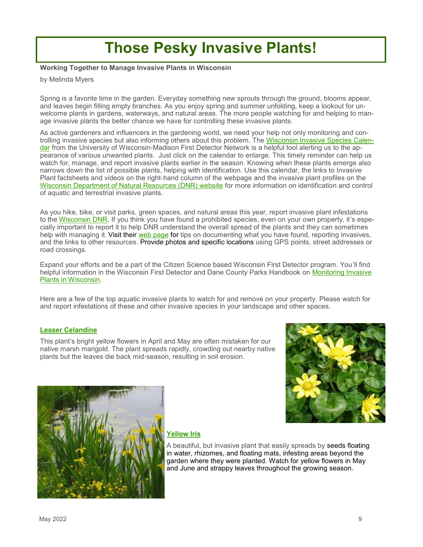## **Those Pesky Invasive Plants!**

**Working Together to Manage Invasive Plants in Wisconsin** 

by Melinda Myers

Spring is a favorite time in the garden. Everyday something new sprouts through the ground, blooms appear, and leaves begin filling empty branches. As you enjoy spring and summer unfolding, keep a lookout for unwelcome plants in gardens, waterways, and natural areas. The more people watching for and helping to manage invasive plants the better chance we have for controlling these invasive plants.

As active gardeners and influencers in the gardening world, we need your help not only monitoring and controlling invasive species but also informing others about this problem. The [Wisconsin Invasive Species Calen](https://fyi.extension.wisc.edu/wifdn/tools/wisconsin-invasive-species-calendar/)[dar](https://fyi.extension.wisc.edu/wifdn/tools/wisconsin-invasive-species-calendar/) from the University of Wisconsin-Madison First Detector Network is a helpful tool alerting us to the appearance of various unwanted plants. Just click on the calendar to enlarge. This timely reminder can help us watch for, manage, and report invasive plants earlier in the season. Knowing when these plants emerge also narrows down the list of possible plants, helping with identification. Use this calendar, the links to Invasive Plant factsheets and videos on the right-hand column of the webpage and the invasive plant profiles on the [Wisconsin Department of Natural Resources \(DNR\) website](https://dnr.wisconsin.gov/topic/Invasives) for more information on identification and control of aquatic and terrestrial invasive plants.

As you hike, bike, or visit parks, green spaces, and natural areas this year, report invasive plant infestations to the [Wisconsin DNR.](mailto:invasive.species@wisconsin.gov) If you think you have found a prohibited species, even on your own property, it's especially important to report it to help DNR understand the overall spread of the plants and they can sometimes help with managing it. Visit their [web page](https://dnr.wisconsin.gov/topic/Invasives/report.html) for tips on documenting what you have found, reporting invasives, and the links to other resources. Provide photos and specific locations using GPS points, street addresses or road crossings.

Expand your efforts and be a part of the Citizen Science based Wisconsin First Detector program. You'll find helpful information in the Wisconsin First Detector and Dane County Parks Handbook on Monitoring Invasive [Plants in Wisconsin.](https://drive.google.com/file/d/1tdDo6A3SF-Hzo00K0CCnz-nus_frVlHj/view)

Here are a few of the top aquatic invasive plants to watch for and remove on your property. Please watch for and report infestations of these and other invasive species in your landscape and other spaces.

#### **[Lesser Celandine](https://dnr.wisconsin.gov/topic/Invasives/fact/LesserCelandine.html)**

This plant's bright yellow flowers in April and May are often mistaken for our native marsh marigold. The plant spreads rapidly, crowding out nearby native plants but the leaves die back mid-season, resulting in soil erosion.





#### **[Yellow Iris](https://dnr.wisconsin.gov/topic/Invasives/fact/YellowFlagIris.html)**

A beautiful, but invasive plant that easily spreads by seeds floating in water, rhizomes, and floating mats, infesting areas beyond the garden where they were planted. Watch for yellow flowers in May and June and strappy leaves throughout the growing season.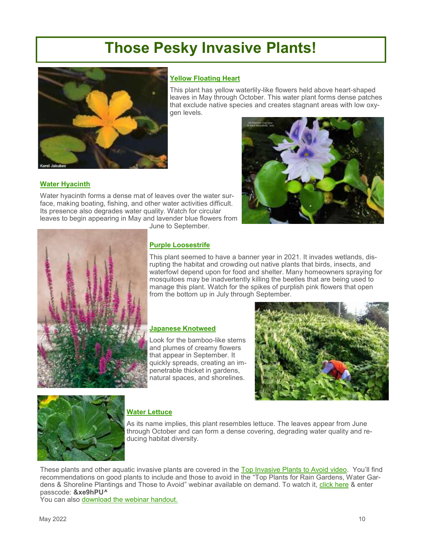## **Those Pesky Invasive Plants!**



#### **[Yellow Floating Heart](https://dnr.wisconsin.gov/topic/Invasives/fact/YellowFloatingHeart.html)**

This plant has yellow waterlily-like flowers held above heart-shaped leaves in May through October. This water plant forms dense patches that exclude native species and creates stagnant areas with low oxygen levels.



#### **[Water Hyacinth](https://dnr.wisconsin.gov/topic/Invasives/fact/WaterHyacinth.html)**

Water hyacinth forms a dense mat of leaves over the water surface, making boating, fishing, and other water activities difficult. Its presence also degrades water quality. Watch for circular leaves to begin appearing in May and lavender blue flowers from June to September.



#### **[Purple Loosestrife](https://dnr.wisconsin.gov/topic/Invasives/fact/PurpleLoosestrife.html)**

This plant seemed to have a banner year in 2021. It invades wetlands, disrupting the habitat and crowding out native plants that birds, insects, and waterfowl depend upon for food and shelter. Many homeowners spraying for mosquitoes may be inadvertently killing the beetles that are being used to manage this plant. Watch for the spikes of purplish pink flowers that open from the bottom up in July through September.

#### **[Japanese Knotweed](https://dnr.wisconsin.gov/topic/Invasives/fact/JapaneseKnotweed.html)**

Look for the bamboo-like stems and plumes of creamy flowers that appear in September. It quickly spreads, creating an impenetrable thicket in gardens, natural spaces, and shorelines.





### **[Water Lettuce](https://dnr.wisconsin.gov/topic/Invasives/fact/WaterLettuce.html)**

As its name implies, this plant resembles lettuce. The leaves appear from June through October and can form a dense covering, degrading water quality and reducing habitat diversity.

These plants and other aquatic invasive plants are covered in the [Top Invasive Plants to Avoid video.](https://www.youtube.com/watch?v=4BqDIHBrd5U) You'll find recommendations on good plants to include and those to avoid in the "Top Plants for Rain Gardens, Water Gardens & Shoreline Plantings and Those to Avoid" webinar available on demand. To watch it, [click here](https://us02web.zoom.us/rec/share/uDGA2jm4N3f1ZxNpAZsYYBJ2m-7y1FBG0L4ZWcSEt9OtNVE_qd4Ft9kHUMuP48E.XEcMVsNqSpfjtRhg) & enter passcode: **&xe9hPU^**

You can also [download the webinar handout.](https://www.melindamyers.com/application/files/3416/2084/6568/TOP_PLANTS_RAIN_WATER_SHORELINE_GARDENS.pdf)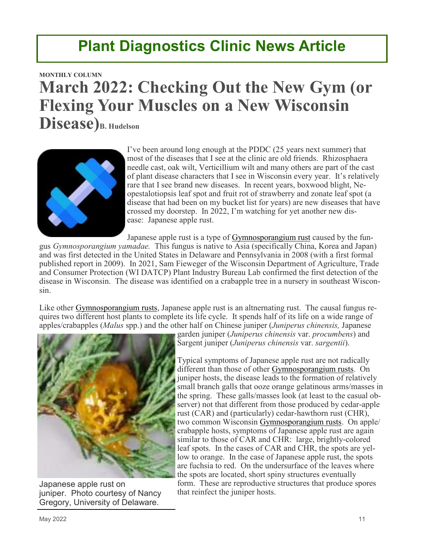## **Plant Diagnostics Clinic News Article**

## **[MONTHLY COLUMN](https://pddc.wisc.edu/category/monthly-column/) March 2022: Checking Out the New Gym (or Flexing Your Muscles on a New Wisconsin Disease)B. Hudelson**



I've been around long enough at the PDDC (25 years next summer) that most of the diseases that I see at the clinic are old friends. Rhizosphaera needle cast, oak wilt, Verticillium wilt and many others are part of the cast of plant disease characters that I see in Wisconsin every year. It's relatively rare that I see brand new diseases. In recent years, boxwood blight, Neopestalotiopsis leaf spot and fruit rot of strawberry and zonate leaf spot (a disease that had been on my bucket list for years) are new diseases that have crossed my doorstep. In 2022, I'm watching for yet another new disease: Japanese apple rust.

Japanese apple rust is a type of [Gymnosporangium rust](https://pddc.wisc.edu/wp-content/blogs.dir/39/files/Fact_Sheets/FC_PDF/Gymnosporangium_Rusts.pdf) caused by the fun-

gus *Gymnosporangium yamadae.* This fungus is native to Asia (specifically China, Korea and Japan) and was first detected in the United States in Delaware and Pennsylvania in 2008 (with a first formal published report in 2009). In 2021, Sam Fieweger of the Wisconsin Department of Agriculture, Trade and Consumer Protection (WI DATCP) Plant Industry Bureau Lab confirmed the first detection of the disease in Wisconsin. The disease was identified on a crabapple tree in a nursery in southeast Wisconsin.

Like other [Gymnosporangium rusts,](https://pddc.wisc.edu/wp-content/blogs.dir/39/files/Fact_Sheets/FC_PDF/Gymnosporangium_Rusts.pdf) Japanese apple rust is an altnernating rust. The causal fungus requires two different host plants to complete its life cycle. It spends half of its life on a wide range of apples/crabapples (*Malus* spp.) and the other half on Chinese juniper (*Juniperus chinensis,* Japanese



Japanese apple rust on juniper. Photo courtesy of Nancy Gregory, University of Delaware.

garden juniper (*Juniperus chinensis* var. *procumbens*) and Sargent juniper (*Juniperus chinensis* var. *sargentii*).

Typical symptoms of Japanese apple rust are not radically different than those of other [Gymnosporangium rusts.](https://pddc.wisc.edu/wp-content/blogs.dir/39/files/Fact_Sheets/FC_PDF/Gymnosporangium_Rusts.pdf) On juniper hosts, the disease leads to the formation of relatively small branch galls that ooze orange gelatinous arms/masses in the spring. These galls/masses look (at least to the casual observer) not that different from those produced by cedar-apple rust (CAR) and (particularly) cedar-hawthorn rust (CHR), two common Wisconsin [Gymnosporangium rusts.](https://pddc.wisc.edu/wp-content/blogs.dir/39/files/Fact_Sheets/FC_PDF/Gymnosporangium_Rusts.pdf) On apple/ crabapple hosts, symptoms of Japanese apple rust are again similar to those of CAR and CHR: large, brightly-colored leaf spots. In the cases of CAR and CHR, the spots are yellow to orange. In the case of Japanese apple rust, the spots are fuchsia to red. On the undersurface of the leaves where the spots are located, short spiny structures eventually form. These are reproductive structures that produce spores that reinfect the juniper hosts.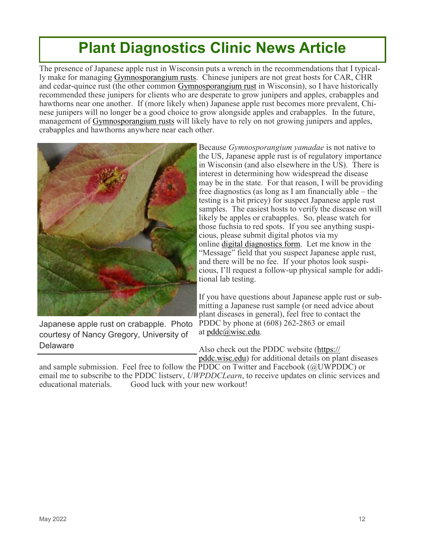## **Plant Diagnostics Clinic News Article**

The presence of Japanese apple rust in Wisconsin puts a wrench in the recommendations that I typically make for managing [Gymnosporangium rusts.](https://pddc.wisc.edu/wp-content/blogs.dir/39/files/Fact_Sheets/FC_PDF/Gymnosporangium_Rusts.pdf) Chinese junipers are not great hosts for CAR, CHR and cedar-quince rust (the other common [Gymnosporangium rust](https://pddc.wisc.edu/wp-content/blogs.dir/39/files/Fact_Sheets/FC_PDF/Gymnosporangium_Rusts.pdf) in Wisconsin), so I have historically recommended these junipers for clients who are desperate to grow junipers and apples, crabapples and hawthorns near one another. If (more likely when) Japanese apple rust becomes more prevalent, Chinese junipers will no longer be a good choice to grow alongside apples and crabapples. In the future, management of [Gymnosporangium rusts](https://pddc.wisc.edu/wp-content/blogs.dir/39/files/Fact_Sheets/FC_PDF/Gymnosporangium_Rusts.pdf) will likely have to rely on not growing junipers and apples, crabapples and hawthorns anywhere near each other.



Japanese apple rust on crabapple. Photo courtesy of Nancy Gregory, University of **Delaware** 

Because *Gymnosporangium yamadae* is not native to the US, Japanese apple rust is of regulatory importance in Wisconsin (and also elsewhere in the US). There is interest in determining how widespread the disease may be in the state. For that reason, I will be providing free diagnostics (as long as I am financially able – the testing is a bit pricey) for suspect Japanese apple rust samples. The easiest hosts to verify the disease on will likely be apples or crabapples. So, please watch for those fuchsia to red spots. If you see anything suspicious, please submit digital photos via my online [digital diagnostics form.](https://pddc.wisc.edu/digital-diagnosis/) Let me know in the "Message" field that you suspect Japanese apple rust, and there will be no fee. If your photos look suspicious, I'll request a follow-up physical sample for additional lab testing.

If you have questions about Japanese apple rust or submitting a Japanese rust sample (or need advice about plant diseases in general), feel free to contact the PDDC by phone at (608) 262-2863 or email at [pddc@wisc.edu.](mailto:pddc@wisc.edu)

Also check out the PDDC website [\(https://](https://pddc.wisc.edu/) [pddc.wisc.edu\)](https://pddc.wisc.edu/) for additional details on plant diseases

and sample submission. Feel free to follow the PDDC on Twitter and Facebook (@UWPDDC) or email me to subscribe to the PDDC listserv, *UWPDDCLearn*, to receive updates on clinic services and educational materials. Good luck with your new workout!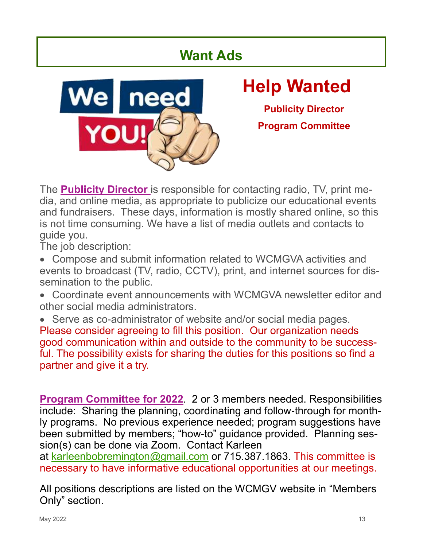## **Want Ads**



# **Help Wanted**

**Publicity Director Program Committee**

The **Publicity Director** is responsible for contacting radio, TV, print media, and online media, as appropriate to publicize our educational events and fundraisers. These days, information is mostly shared online, so this is not time consuming. We have a list of media outlets and contacts to guide you.

The job description:

- Compose and submit information related to WCMGVA activities and events to broadcast (TV, radio, CCTV), print, and internet sources for dissemination to the public.
- Coordinate event announcements with WCMGVA newsletter editor and other social media administrators.
- Serve as co-administrator of website and/or social media pages. Please consider agreeing to fill this position. Our organization needs good communication within and outside to the community to be successful. The possibility exists for sharing the duties for this positions so find a partner and give it a try.

**Program Committee for 2022**. 2 or 3 members needed. Responsibilities include: Sharing the planning, coordinating and follow-through for monthly programs. No previous experience needed; program suggestions have been submitted by members; "how-to" guidance provided. Planning session(s) can be done via Zoom. Contact Karleen

at [karleenbobremington@gmail.com](mailto:karleenbobremington@gmail.com) or 715.387.1863. This committee is necessary to have informative educational opportunities at our meetings.

All positions descriptions are listed on the WCMGV website in "Members Only" section.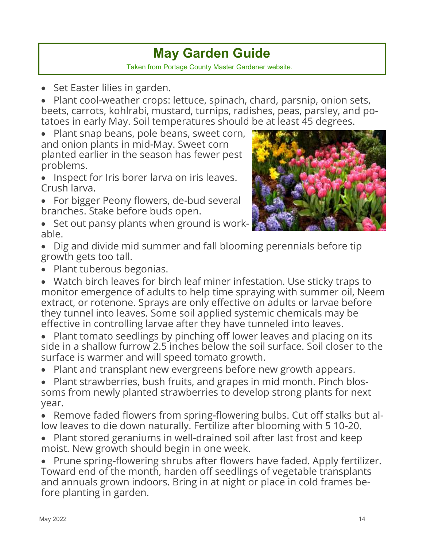## **May Garden Guide**  Taken from Portage County Master Gardener website.

• Set Easter lilies in garden.

• Plant cool-weather crops: lettuce, spinach, chard, parsnip, onion sets, beets, carrots, kohlrabi, mustard, turnips, radishes, peas, parsley, and potatoes in early May. Soil temperatures should be at least 45 degrees.

• Plant snap beans, pole beans, sweet corn, and onion plants in mid-May. Sweet corn planted earlier in the season has fewer pest problems.

- Inspect for Iris borer larva on iris leaves. Crush larva.
- For bigger Peony flowers, de-bud several branches. Stake before buds open.
- Set out pansy plants when ground is workable.



- Dig and divide mid summer and fall blooming perennials before tip growth gets too tall.
- Plant tuberous begonias.

• Watch birch leaves for birch leaf miner infestation. Use sticky traps to monitor emergence of adults to help time spraying with summer oil, Neem extract, or rotenone. Sprays are only effective on adults or larvae before they tunnel into leaves. Some soil applied systemic chemicals may be effective in controlling larvae after they have tunneled into leaves.

- Plant tomato seedlings by pinching off lower leaves and placing on its side in a shallow furrow 2.5 inches below the soil surface. Soil closer to the surface is warmer and will speed tomato growth.
- Plant and transplant new evergreens before new growth appears.
- Plant strawberries, bush fruits, and grapes in mid month. Pinch blossoms from newly planted strawberries to develop strong plants for next year.
- Remove faded flowers from spring-flowering bulbs. Cut off stalks but allow leaves to die down naturally. Fertilize after blooming with 5 10-20.
- Plant stored geraniums in well-drained soil after last frost and keep moist. New growth should begin in one week.

• Prune spring-flowering shrubs after flowers have faded. Apply fertilizer. Toward end of the month, harden off seedlings of vegetable transplants and annuals grown indoors. Bring in at night or place in cold frames before planting in garden.